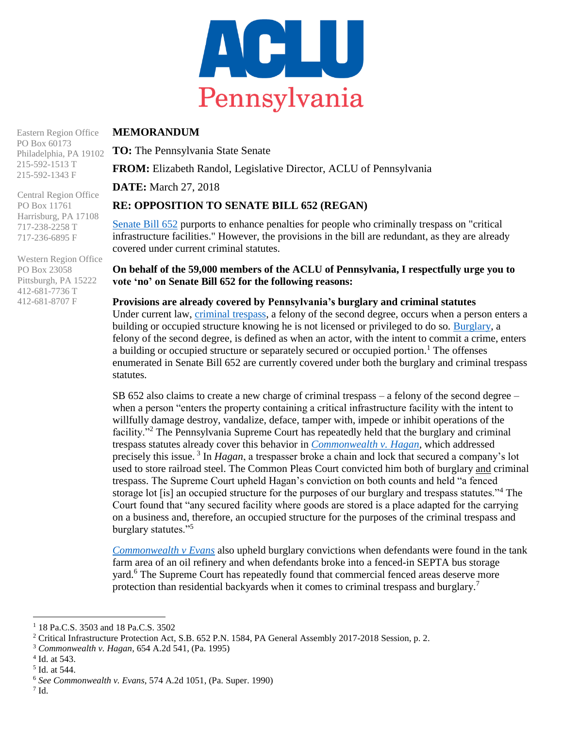

## **MEMORANDUM**

Eastern Region Office PO Box 60173

Philadelphia, PA 19102 215-592-1513 T 215-592-1343 F

Central Region Office PO Box 11761 Harrisburg, PA 17108 717-238-2258 T 717-236-6895 F

Western Region Office PO Box 23058 Pittsburgh, PA 15222 412-681-7736 T 412-681-8707 F

**TO:** The Pennsylvania State Senate

**FROM:** Elizabeth Randol, Legislative Director, ACLU of Pennsylvania

**DATE:** March 27, 2018

# **RE: OPPOSITION TO SENATE BILL 652 (REGAN)**

[Senate Bill 652](http://www.legis.state.pa.us/cfdocs/billInfo/BillInfo.cfm?syear=2017&sind=0&body=S&type=B&bn=652) purports to enhance penalties for people who criminally trespass on "critical" infrastructure facilities." However, the provisions in the bill are redundant, as they are already covered under current criminal statutes.

## **On behalf of the 59,000 members of the ACLU of Pennsylvania, I respectfully urge you to vote 'no' on Senate Bill 652 for the following reasons:**

**Provisions are already covered by Pennsylvania's burglary and criminal statutes** Under current law, [criminal trespass,](http://www.legis.state.pa.us/cfdocs/legis/LI/consCheck.cfm?txtType=HTM&ttl=18&div=0&chpt=35) a felony of the second degree, occurs when a person enters a building or occupied structure knowing he is not licensed or privileged to do so. [Burglary,](http://www.legis.state.pa.us/cfdocs/legis/LI/consCheck.cfm?txtType=HTM&ttl=18&div=0&chpt=35) a felony of the second degree, is defined as when an actor, with the intent to commit a crime, enters a building or occupied structure or separately secured or occupied portion.<sup>1</sup> The offenses enumerated in Senate Bill 652 are currently covered under both the burglary and criminal trespass statutes.

SB 652 also claims to create a new charge of criminal trespass – a felony of the second degree – when a person "enters the property containing a critical infrastructure facility with the intent to willfully damage destroy, vandalize, deface, tamper with, impede or inhibit operations of the facility."<sup>2</sup> The Pennsylvania Supreme Court has repeatedly held that the burglary and criminal trespass statutes already cover this behavior in *[Commonwealth v. Hagan,](https://law.justia.com/cases/pennsylvania/supreme-court/1995/539-pa-609-1.html)* which addressed precisely this issue.<sup>3</sup> In *Hagan*, a trespasser broke a chain and lock that secured a company's lot used to store railroad steel. The Common Pleas Court convicted him both of burglary and criminal trespass. The Supreme Court upheld Hagan's conviction on both counts and held "a fenced storage lot [is] an occupied structure for the purposes of our burglary and trespass statutes."<sup>4</sup> The Court found that "any secured facility where goods are stored is a place adapted for the carrying on a business and, therefore, an occupied structure for the purposes of the criminal trespass and burglary statutes."<sup>5</sup>

*[Commonwealth v Evans](https://law.justia.com/cases/pennsylvania/supreme-court/1990/393-pa-super-500-1.html)* also upheld burglary convictions when defendants were found in the tank farm area of an oil refinery and when defendants broke into a fenced-in SEPTA bus storage yard.<sup>6</sup> The Supreme Court has repeatedly found that commercial fenced areas deserve more protection than residential backyards when it comes to criminal trespass and burglary.<sup>7</sup>

 $7$  Id.

 $\overline{\phantom{a}}$ 

<sup>1</sup> 18 Pa.C.S. 3503 and 18 Pa.C.S. 3502

<sup>&</sup>lt;sup>2</sup> Critical Infrastructure Protection Act, S.B. 652 P.N. 1584, PA General Assembly 2017-2018 Session, p. 2.

<sup>3</sup> *Commonwealth v. Hagan*, 654 A.2d 541, (Pa. 1995)

<sup>4</sup> Id. at 543.

<sup>5</sup> Id. at 544.

<sup>6</sup> *See Commonwealth v. Evans*, 574 A.2d 1051, (Pa. Super. 1990)